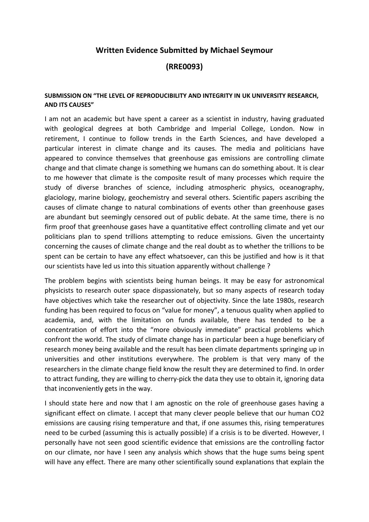## **Written Evidence Submitted by Michael Seymour**

**(RRE0093)**

## **SUBMISSION ON "THE LEVEL OF REPRODUCIBILITY AND INTEGRITY IN UK UNIVERSITY RESEARCH, AND ITS CAUSES"**

I am not an academic but have spent a career as a scientist in industry, having graduated with geological degrees at both Cambridge and Imperial College, London. Now in retirement, I continue to follow trends in the Earth Sciences, and have developed a particular interest in climate change and its causes. The media and politicians have appeared to convince themselves that greenhouse gas emissions are controlling climate change and that climate change is something we humans can do something about. It is clear to me however that climate is the composite result of many processes which require the study of diverse branches of science, including atmospheric physics, oceanography, glaciology, marine biology, geochemistry and several others. Scientific papers ascribing the causes of climate change to natural combinations of events other than greenhouse gases are abundant but seemingly censored out of public debate. At the same time, there is no firm proof that greenhouse gases have a quantitative effect controlling climate and yet our politicians plan to spend trillions attempting to reduce emissions. Given the uncertainty concerning the causes of climate change and the real doubt as to whether the trillions to be spent can be certain to have any effect whatsoever, can this be justified and how is it that our scientists have led us into this situation apparently without challenge ?

The problem begins with scientists being human beings. It may be easy for astronomical physicists to research outer space dispassionately, but so many aspects of research today have objectives which take the researcher out of objectivity. Since the late 1980s, research funding has been required to focus on "value for money", a tenuous quality when applied to academia, and, with the limitation on funds available, there has tended to be a concentration of effort into the "more obviously immediate" practical problems which confront the world. The study of climate change has in particular been a huge beneficiary of research money being available and the result has been climate departments springing up in universities and other institutions everywhere. The problem is that very many of the researchers in the climate change field know the result they are determined to find. In order to attract funding, they are willing to cherry-pick the data they use to obtain it, ignoring data that inconveniently gets in the way.

I should state here and now that I am agnostic on the role of greenhouse gases having a significant effect on climate. I accept that many clever people believe that our human CO2 emissions are causing rising temperature and that, if one assumes this, rising temperatures need to be curbed (assuming this is actually possible) if a crisis is to be diverted. However, I personally have not seen good scientific evidence that emissions are the controlling factor on our climate, nor have I seen any analysis which shows that the huge sums being spent will have any effect. There are many other scientifically sound explanations that explain the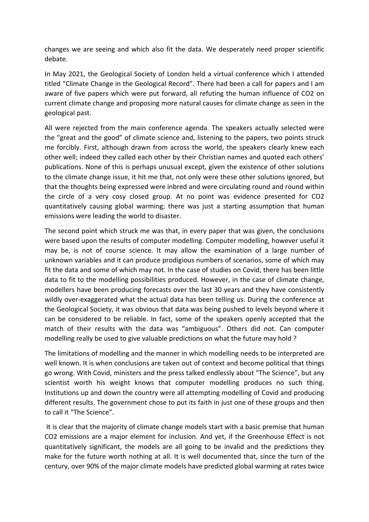changes we are seeing and which also fit the data. We desperately need proper scientific debate.

In May 2021, the Geological Society of London held a virtual conference which I attended titled "Climate Change in the Geological Record". There had been a call for papers and I am aware of five papers which were put forward, all refuting the human influence of CO2 on current climate change and proposing more natural causes for climate change as seen in the geological past.

All were rejected from the main conference agenda. The speakers actually selected were the "great and the good" of climate science and, listening to the papers, two points struck me forcibly. First, although drawn from across the world, the speakers clearly knew each other well; indeed they called each other by their Christian names and quoted each others' publications. None of this is perhaps unusual except, given the existence of other solutions to the climate change issue, it hit me that, not only were these other solutions ignored, but that the thoughts being expressed were inbred and were circulating round and round within the circle of a very cosy closed group. At no point was evidence presented for CO2 quantitatively causing global warming; there was just a starting assumption that human emissions were leading the world to disaster.

The second point which struck me was that, in every paper that was given, the conclusions were based upon the results of computer modelling. Computer modelling, however useful it may be, is not of course science. It may allow the examination of a large number of unknown variables and it can produce prodigious numbers of scenarios, some of which may fit the data and some of which may not. In the case of studies on Covid, there has been little data to fit to the modelling possibilities produced. However, in the case of climate change, modellers have been producing forecasts over the last 30 years and they have consistently wildly over-exaggerated what the actual data has been telling us. During the conference at the Geological Society, it was obvious that data was being pushed to levels beyond where it can be considered to be reliable. In fact, some of the speakers openly accepted that the match of their results with the data was "ambiguous". Others did not. Can computer modelling really be used to give valuable predictions on what the future may hold ?

The limitations of modelling and the manner in which modelling needs to be interpreted are well known. It is when conclusions are taken out of context and become political that things go wrong. With Covid, ministers and the press talked endlessly about "The Science", but any scientist worth his weight knows that computer modelling produces no such thing. Institutions up and down the country were all attempting modelling of Covid and producing different results. The government chose to put its faith in just one of these groups and then to call it "The Science".

It is clear that the majority of climate change models start with a basic premise that human CO2 emissions are a major element for inclusion. And yet, if the Greenhouse Effect is not quantitatively significant, the models are all going to be invalid and the predictions they make for the future worth nothing at all. It is well documented that, since the turn of the century, over 90% of the major climate models have predicted global warming at rates twice